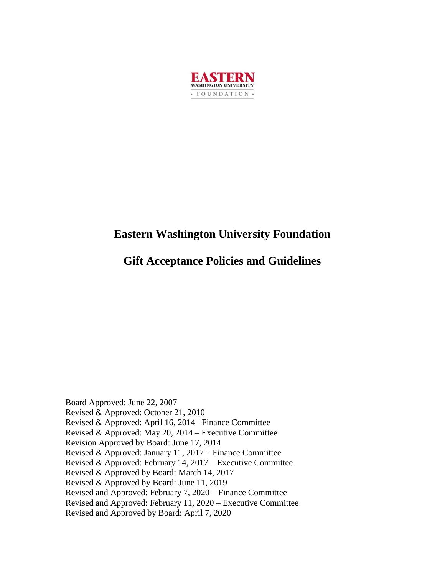

# **Eastern Washington University Foundation**

# **Gift Acceptance Policies and Guidelines**

Board Approved: June 22, 2007 Revised & Approved: October 21, 2010 Revised & Approved: April 16, 2014 –Finance Committee Revised & Approved: May 20, 2014 – Executive Committee Revision Approved by Board: June 17, 2014 Revised & Approved: January 11, 2017 – Finance Committee Revised & Approved: February 14, 2017 – Executive Committee Revised & Approved by Board: March 14, 2017 Revised & Approved by Board: June 11, 2019 Revised and Approved: February 7, 2020 – Finance Committee Revised and Approved: February 11, 2020 – Executive Committee Revised and Approved by Board: April 7, 2020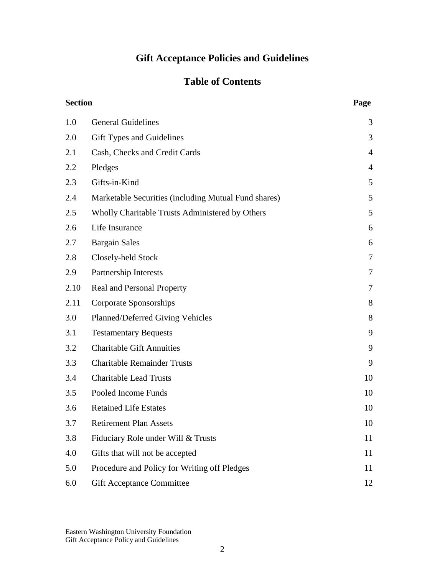# **Gift Acceptance Policies and Guidelines**

# **Table of Contents**

| <b>Section</b> | Page                                                 |                          |
|----------------|------------------------------------------------------|--------------------------|
| 1.0            | <b>General Guidelines</b>                            | 3                        |
| 2.0            | Gift Types and Guidelines                            | 3                        |
| 2.1            | Cash, Checks and Credit Cards                        | $\overline{4}$           |
| 2.2            | Pledges                                              | $\overline{4}$           |
| 2.3            | Gifts-in-Kind                                        | 5                        |
| 2.4            | Marketable Securities (including Mutual Fund shares) | 5                        |
| 2.5            | Wholly Charitable Trusts Administered by Others      | 5                        |
| 2.6            | Life Insurance                                       | 6                        |
| 2.7            | <b>Bargain Sales</b>                                 | 6                        |
| 2.8            | Closely-held Stock                                   | $\overline{\mathcal{L}}$ |
| 2.9            | Partnership Interests                                | 7                        |
| 2.10           | Real and Personal Property                           | $\tau$                   |
| 2.11           | Corporate Sponsorships                               | 8                        |
| 3.0            | Planned/Deferred Giving Vehicles                     | 8                        |
| 3.1            | <b>Testamentary Bequests</b>                         | 9                        |
| 3.2            | <b>Charitable Gift Annuities</b>                     | 9                        |
| 3.3            | <b>Charitable Remainder Trusts</b>                   | 9                        |
| 3.4            | <b>Charitable Lead Trusts</b>                        | 10                       |
| 3.5            | Pooled Income Funds                                  | 10                       |
| 3.6            | <b>Retained Life Estates</b>                         | 10                       |
| 3.7            | <b>Retirement Plan Assets</b>                        | 10                       |
| 3.8            | Fiduciary Role under Will & Trusts                   | 11                       |
| 4.0            | Gifts that will not be accepted                      | 11                       |
| 5.0            | Procedure and Policy for Writing off Pledges         | 11                       |
| 6.0            | <b>Gift Acceptance Committee</b>                     | 12                       |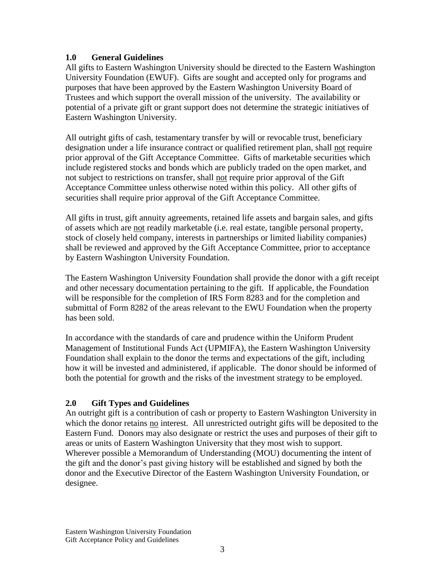#### **1.0 General Guidelines**

All gifts to Eastern Washington University should be directed to the Eastern Washington University Foundation (EWUF). Gifts are sought and accepted only for programs and purposes that have been approved by the Eastern Washington University Board of Trustees and which support the overall mission of the university. The availability or potential of a private gift or grant support does not determine the strategic initiatives of Eastern Washington University.

All outright gifts of cash, testamentary transfer by will or revocable trust, beneficiary designation under a life insurance contract or qualified retirement plan, shall not require prior approval of the Gift Acceptance Committee. Gifts of marketable securities which include registered stocks and bonds which are publicly traded on the open market, and not subject to restrictions on transfer, shall not require prior approval of the Gift Acceptance Committee unless otherwise noted within this policy. All other gifts of securities shall require prior approval of the Gift Acceptance Committee.

All gifts in trust, gift annuity agreements, retained life assets and bargain sales, and gifts of assets which are not readily marketable (i.e. real estate, tangible personal property, stock of closely held company, interests in partnerships or limited liability companies) shall be reviewed and approved by the Gift Acceptance Committee, prior to acceptance by Eastern Washington University Foundation.

The Eastern Washington University Foundation shall provide the donor with a gift receipt and other necessary documentation pertaining to the gift. If applicable, the Foundation will be responsible for the completion of IRS Form 8283 and for the completion and submittal of Form 8282 of the areas relevant to the EWU Foundation when the property has been sold.

In accordance with the standards of care and prudence within the Uniform Prudent Management of Institutional Funds Act (UPMIFA), the Eastern Washington University Foundation shall explain to the donor the terms and expectations of the gift, including how it will be invested and administered, if applicable. The donor should be informed of both the potential for growth and the risks of the investment strategy to be employed.

#### **2.0 Gift Types and Guidelines**

An outright gift is a contribution of cash or property to Eastern Washington University in which the donor retains no interest. All unrestricted outright gifts will be deposited to the Eastern Fund. Donors may also designate or restrict the uses and purposes of their gift to areas or units of Eastern Washington University that they most wish to support. Wherever possible a Memorandum of Understanding (MOU) documenting the intent of the gift and the donor's past giving history will be established and signed by both the donor and the Executive Director of the Eastern Washington University Foundation, or designee.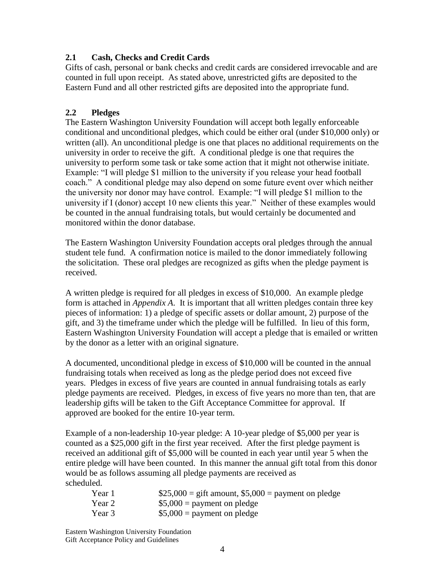#### **2.1 Cash, Checks and Credit Cards**

Gifts of cash, personal or bank checks and credit cards are considered irrevocable and are counted in full upon receipt. As stated above, unrestricted gifts are deposited to the Eastern Fund and all other restricted gifts are deposited into the appropriate fund.

#### **2.2 Pledges**

The Eastern Washington University Foundation will accept both legally enforceable conditional and unconditional pledges, which could be either oral (under \$10,000 only) or written (all). An unconditional pledge is one that places no additional requirements on the university in order to receive the gift. A conditional pledge is one that requires the university to perform some task or take some action that it might not otherwise initiate. Example: "I will pledge \$1 million to the university if you release your head football coach." A conditional pledge may also depend on some future event over which neither the university nor donor may have control. Example: "I will pledge \$1 million to the university if I (donor) accept 10 new clients this year." Neither of these examples would be counted in the annual fundraising totals, but would certainly be documented and monitored within the donor database.

The Eastern Washington University Foundation accepts oral pledges through the annual student tele fund. A confirmation notice is mailed to the donor immediately following the solicitation. These oral pledges are recognized as gifts when the pledge payment is received.

A written pledge is required for all pledges in excess of \$10,000. An example pledge form is attached in *Appendix A*. It is important that all written pledges contain three key pieces of information: 1) a pledge of specific assets or dollar amount, 2) purpose of the gift, and 3) the timeframe under which the pledge will be fulfilled. In lieu of this form, Eastern Washington University Foundation will accept a pledge that is emailed or written by the donor as a letter with an original signature.

A documented, unconditional pledge in excess of \$10,000 will be counted in the annual fundraising totals when received as long as the pledge period does not exceed five years. Pledges in excess of five years are counted in annual fundraising totals as early pledge payments are received. Pledges, in excess of five years no more than ten, that are leadership gifts will be taken to the Gift Acceptance Committee for approval. If approved are booked for the entire 10-year term.

Example of a non-leadership 10-year pledge: A 10-year pledge of \$5,000 per year is counted as a \$25,000 gift in the first year received. After the first pledge payment is received an additional gift of \$5,000 will be counted in each year until year 5 when the entire pledge will have been counted. In this manner the annual gift total from this donor would be as follows assuming all pledge payments are received as scheduled.

| Year 1 | \$25,000 = gift amount, $$5,000$ = payment on pledge |
|--------|------------------------------------------------------|
| Year 2 | $$5,000 =$ payment on pledge                         |
| Year 3 | $$5,000 =$ payment on pledge                         |

Eastern Washington University Foundation Gift Acceptance Policy and Guidelines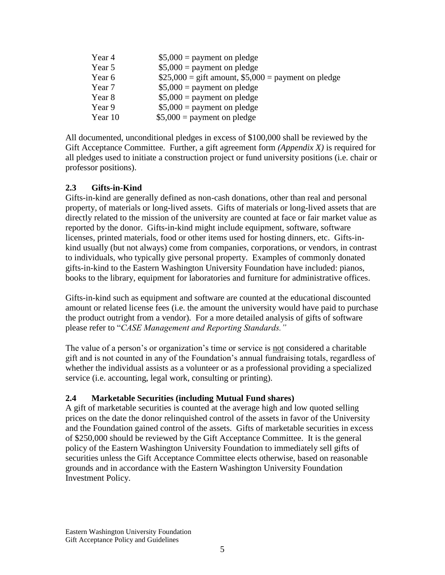| Year 4  | $$5,000 =$ payment on pledge                          |
|---------|-------------------------------------------------------|
| Year 5  | $$5,000 =$ payment on pledge                          |
| Year 6  | $$25,000 =$ gift amount, $$5,000 =$ payment on pledge |
| Year 7  | $$5,000 =$ payment on pledge                          |
| Year 8  | $$5,000 =$ payment on pledge                          |
| Year 9  | $$5,000 =$ payment on pledge                          |
| Year 10 | $$5,000 =$ payment on pledge                          |

All documented, unconditional pledges in excess of \$100,000 shall be reviewed by the Gift Acceptance Committee. Further, a gift agreement form *(Appendix X)* is required for all pledges used to initiate a construction project or fund university positions (i.e. chair or professor positions).

#### **2.3 Gifts-in-Kind**

Gifts-in-kind are generally defined as non-cash donations, other than real and personal property, of materials or long-lived assets. Gifts of materials or long-lived assets that are directly related to the mission of the university are counted at face or fair market value as reported by the donor. Gifts-in-kind might include equipment, software, software licenses, printed materials, food or other items used for hosting dinners, etc. Gifts-inkind usually (but not always) come from companies, corporations, or vendors, in contrast to individuals, who typically give personal property. Examples of commonly donated gifts-in-kind to the Eastern Washington University Foundation have included: pianos, books to the library, equipment for laboratories and furniture for administrative offices.

Gifts-in-kind such as equipment and software are counted at the educational discounted amount or related license fees (i.e. the amount the university would have paid to purchase the product outright from a vendor). For a more detailed analysis of gifts of software please refer to "*CASE Management and Reporting Standards."*

The value of a person's or organization's time or service is not considered a charitable gift and is not counted in any of the Foundation's annual fundraising totals, regardless of whether the individual assists as a volunteer or as a professional providing a specialized service (i.e. accounting, legal work, consulting or printing).

#### **2.4 Marketable Securities (including Mutual Fund shares)**

A gift of marketable securities is counted at the average high and low quoted selling prices on the date the donor relinquished control of the assets in favor of the University and the Foundation gained control of the assets. Gifts of marketable securities in excess of \$250,000 should be reviewed by the Gift Acceptance Committee. It is the general policy of the Eastern Washington University Foundation to immediately sell gifts of securities unless the Gift Acceptance Committee elects otherwise, based on reasonable grounds and in accordance with the Eastern Washington University Foundation Investment Policy.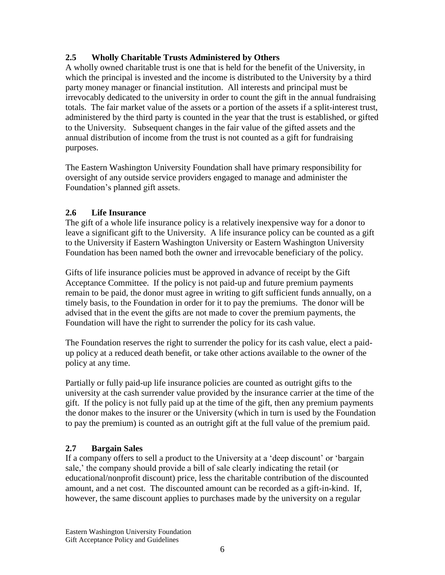#### **2.5 Wholly Charitable Trusts Administered by Others**

A wholly owned charitable trust is one that is held for the benefit of the University, in which the principal is invested and the income is distributed to the University by a third party money manager or financial institution. All interests and principal must be irrevocably dedicated to the university in order to count the gift in the annual fundraising totals. The fair market value of the assets or a portion of the assets if a split-interest trust, administered by the third party is counted in the year that the trust is established, or gifted to the University. Subsequent changes in the fair value of the gifted assets and the annual distribution of income from the trust is not counted as a gift for fundraising purposes.

The Eastern Washington University Foundation shall have primary responsibility for oversight of any outside service providers engaged to manage and administer the Foundation's planned gift assets.

#### **2.6 Life Insurance**

The gift of a whole life insurance policy is a relatively inexpensive way for a donor to leave a significant gift to the University. A life insurance policy can be counted as a gift to the University if Eastern Washington University or Eastern Washington University Foundation has been named both the owner and irrevocable beneficiary of the policy.

Gifts of life insurance policies must be approved in advance of receipt by the Gift Acceptance Committee. If the policy is not paid-up and future premium payments remain to be paid, the donor must agree in writing to gift sufficient funds annually, on a timely basis, to the Foundation in order for it to pay the premiums. The donor will be advised that in the event the gifts are not made to cover the premium payments, the Foundation will have the right to surrender the policy for its cash value.

The Foundation reserves the right to surrender the policy for its cash value, elect a paidup policy at a reduced death benefit, or take other actions available to the owner of the policy at any time.

Partially or fully paid-up life insurance policies are counted as outright gifts to the university at the cash surrender value provided by the insurance carrier at the time of the gift. If the policy is not fully paid up at the time of the gift, then any premium payments the donor makes to the insurer or the University (which in turn is used by the Foundation to pay the premium) is counted as an outright gift at the full value of the premium paid.

#### **2.7 Bargain Sales**

If a company offers to sell a product to the University at a 'deep discount' or 'bargain sale,' the company should provide a bill of sale clearly indicating the retail (or educational/nonprofit discount) price, less the charitable contribution of the discounted amount, and a net cost. The discounted amount can be recorded as a gift-in-kind. If, however, the same discount applies to purchases made by the university on a regular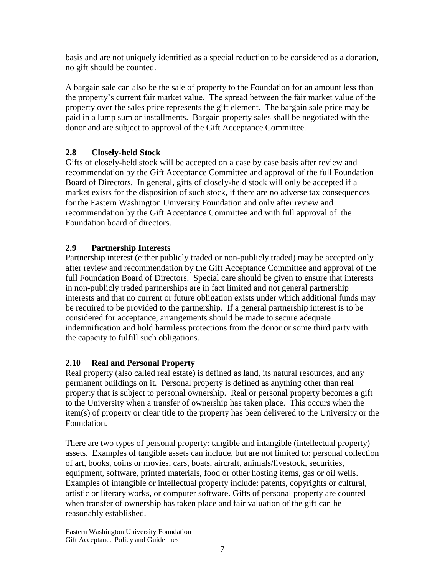basis and are not uniquely identified as a special reduction to be considered as a donation, no gift should be counted.

A bargain sale can also be the sale of property to the Foundation for an amount less than the property's current fair market value. The spread between the fair market value of the property over the sales price represents the gift element. The bargain sale price may be paid in a lump sum or installments. Bargain property sales shall be negotiated with the donor and are subject to approval of the Gift Acceptance Committee.

#### **2.8 Closely-held Stock**

Gifts of closely-held stock will be accepted on a case by case basis after review and recommendation by the Gift Acceptance Committee and approval of the full Foundation Board of Directors. In general, gifts of closely-held stock will only be accepted if a market exists for the disposition of such stock, if there are no adverse tax consequences for the Eastern Washington University Foundation and only after review and recommendation by the Gift Acceptance Committee and with full approval of the Foundation board of directors.

#### **2.9 Partnership Interests**

Partnership interest (either publicly traded or non-publicly traded) may be accepted only after review and recommendation by the Gift Acceptance Committee and approval of the full Foundation Board of Directors. Special care should be given to ensure that interests in non-publicly traded partnerships are in fact limited and not general partnership interests and that no current or future obligation exists under which additional funds may be required to be provided to the partnership. If a general partnership interest is to be considered for acceptance, arrangements should be made to secure adequate indemnification and hold harmless protections from the donor or some third party with the capacity to fulfill such obligations.

#### **2.10 Real and Personal Property**

Real property (also called real estate) is defined as land, its natural resources, and any permanent buildings on it. Personal property is defined as anything other than real property that is subject to personal ownership. Real or personal property becomes a gift to the University when a transfer of ownership has taken place. This occurs when the item(s) of property or clear title to the property has been delivered to the University or the Foundation.

There are two types of personal property: tangible and intangible (intellectual property) assets. Examples of tangible assets can include, but are not limited to: personal collection of art, books, coins or movies, cars, boats, aircraft, animals/livestock, securities, equipment, software, printed materials, food or other hosting items, gas or oil wells. Examples of intangible or intellectual property include: patents, copyrights or cultural, artistic or literary works, or computer software. Gifts of personal property are counted when transfer of ownership has taken place and fair valuation of the gift can be reasonably established.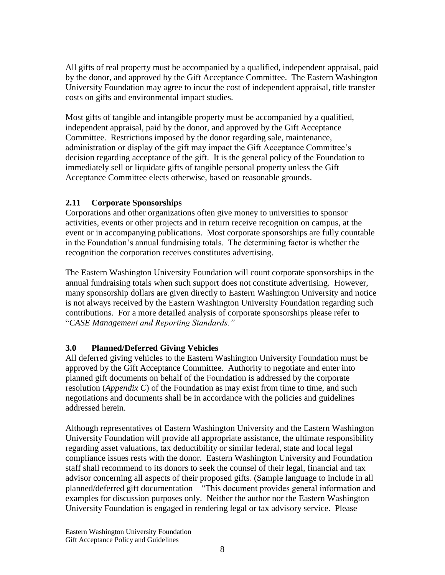All gifts of real property must be accompanied by a qualified, independent appraisal, paid by the donor, and approved by the Gift Acceptance Committee. The Eastern Washington University Foundation may agree to incur the cost of independent appraisal, title transfer costs on gifts and environmental impact studies.

Most gifts of tangible and intangible property must be accompanied by a qualified, independent appraisal, paid by the donor, and approved by the Gift Acceptance Committee. Restrictions imposed by the donor regarding sale, maintenance, administration or display of the gift may impact the Gift Acceptance Committee's decision regarding acceptance of the gift. It is the general policy of the Foundation to immediately sell or liquidate gifts of tangible personal property unless the Gift Acceptance Committee elects otherwise, based on reasonable grounds.

#### **2.11 Corporate Sponsorships**

Corporations and other organizations often give money to universities to sponsor activities, events or other projects and in return receive recognition on campus, at the event or in accompanying publications. Most corporate sponsorships are fully countable in the Foundation's annual fundraising totals. The determining factor is whether the recognition the corporation receives constitutes advertising.

The Eastern Washington University Foundation will count corporate sponsorships in the annual fundraising totals when such support does not constitute advertising. However, many sponsorship dollars are given directly to Eastern Washington University and notice is not always received by the Eastern Washington University Foundation regarding such contributions. For a more detailed analysis of corporate sponsorships please refer to "*CASE Management and Reporting Standards."*

#### **3.0 Planned/Deferred Giving Vehicles**

All deferred giving vehicles to the Eastern Washington University Foundation must be approved by the Gift Acceptance Committee. Authority to negotiate and enter into planned gift documents on behalf of the Foundation is addressed by the corporate resolution (*Appendix C*) of the Foundation as may exist from time to time, and such negotiations and documents shall be in accordance with the policies and guidelines addressed herein.

Although representatives of Eastern Washington University and the Eastern Washington University Foundation will provide all appropriate assistance, the ultimate responsibility regarding asset valuations, tax deductibility or similar federal, state and local legal compliance issues rests with the donor. Eastern Washington University and Foundation staff shall recommend to its donors to seek the counsel of their legal, financial and tax advisor concerning all aspects of their proposed gifts. (Sample language to include in all planned/deferred gift documentation – "This document provides general information and examples for discussion purposes only. Neither the author nor the Eastern Washington University Foundation is engaged in rendering legal or tax advisory service. Please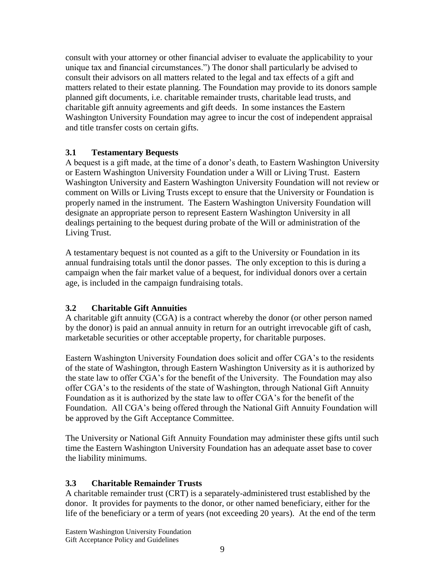consult with your attorney or other financial adviser to evaluate the applicability to your unique tax and financial circumstances.") The donor shall particularly be advised to consult their advisors on all matters related to the legal and tax effects of a gift and matters related to their estate planning. The Foundation may provide to its donors sample planned gift documents, i.e. charitable remainder trusts, charitable lead trusts, and charitable gift annuity agreements and gift deeds. In some instances the Eastern Washington University Foundation may agree to incur the cost of independent appraisal and title transfer costs on certain gifts.

#### **3.1 Testamentary Bequests**

A bequest is a gift made, at the time of a donor's death, to Eastern Washington University or Eastern Washington University Foundation under a Will or Living Trust. Eastern Washington University and Eastern Washington University Foundation will not review or comment on Wills or Living Trusts except to ensure that the University or Foundation is properly named in the instrument. The Eastern Washington University Foundation will designate an appropriate person to represent Eastern Washington University in all dealings pertaining to the bequest during probate of the Will or administration of the Living Trust.

A testamentary bequest is not counted as a gift to the University or Foundation in its annual fundraising totals until the donor passes. The only exception to this is during a campaign when the fair market value of a bequest, for individual donors over a certain age, is included in the campaign fundraising totals.

#### **3.2 Charitable Gift Annuities**

A charitable gift annuity (CGA) is a contract whereby the donor (or other person named by the donor) is paid an annual annuity in return for an outright irrevocable gift of cash, marketable securities or other acceptable property, for charitable purposes.

Eastern Washington University Foundation does solicit and offer CGA's to the residents of the state of Washington, through Eastern Washington University as it is authorized by the state law to offer CGA's for the benefit of the University. The Foundation may also offer CGA's to the residents of the state of Washington, through National Gift Annuity Foundation as it is authorized by the state law to offer CGA's for the benefit of the Foundation. All CGA's being offered through the National Gift Annuity Foundation will be approved by the Gift Acceptance Committee.

The University or National Gift Annuity Foundation may administer these gifts until such time the Eastern Washington University Foundation has an adequate asset base to cover the liability minimums.

#### **3.3 Charitable Remainder Trusts**

A charitable remainder trust (CRT) is a separately-administered trust established by the donor. It provides for payments to the donor, or other named beneficiary, either for the life of the beneficiary or a term of years (not exceeding 20 years). At the end of the term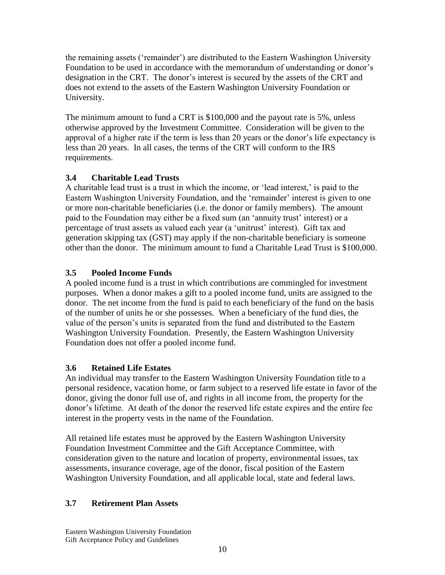the remaining assets ('remainder') are distributed to the Eastern Washington University Foundation to be used in accordance with the memorandum of understanding or donor's designation in the CRT. The donor's interest is secured by the assets of the CRT and does not extend to the assets of the Eastern Washington University Foundation or University.

The minimum amount to fund a CRT is \$100,000 and the payout rate is 5%, unless otherwise approved by the Investment Committee. Consideration will be given to the approval of a higher rate if the term is less than 20 years or the donor's life expectancy is less than 20 years. In all cases, the terms of the CRT will conform to the IRS requirements.

## **3.4 Charitable Lead Trusts**

A charitable lead trust is a trust in which the income, or 'lead interest,' is paid to the Eastern Washington University Foundation, and the 'remainder' interest is given to one or more non-charitable beneficiaries (i.e. the donor or family members). The amount paid to the Foundation may either be a fixed sum (an 'annuity trust' interest) or a percentage of trust assets as valued each year (a 'unitrust' interest). Gift tax and generation skipping tax (GST) may apply if the non-charitable beneficiary is someone other than the donor. The minimum amount to fund a Charitable Lead Trust is \$100,000.

## **3.5 Pooled Income Funds**

A pooled income fund is a trust in which contributions are commingled for investment purposes. When a donor makes a gift to a pooled income fund, units are assigned to the donor. The net income from the fund is paid to each beneficiary of the fund on the basis of the number of units he or she possesses. When a beneficiary of the fund dies, the value of the person's units is separated from the fund and distributed to the Eastern Washington University Foundation. Presently, the Eastern Washington University Foundation does not offer a pooled income fund.

#### **3.6 Retained Life Estates**

An individual may transfer to the Eastern Washington University Foundation title to a personal residence, vacation home, or farm subject to a reserved life estate in favor of the donor, giving the donor full use of, and rights in all income from, the property for the donor's lifetime. At death of the donor the reserved life estate expires and the entire fee interest in the property vests in the name of the Foundation.

All retained life estates must be approved by the Eastern Washington University Foundation Investment Committee and the Gift Acceptance Committee, with consideration given to the nature and location of property, environmental issues, tax assessments, insurance coverage, age of the donor, fiscal position of the Eastern Washington University Foundation, and all applicable local, state and federal laws.

# **3.7 Retirement Plan Assets**

Eastern Washington University Foundation Gift Acceptance Policy and Guidelines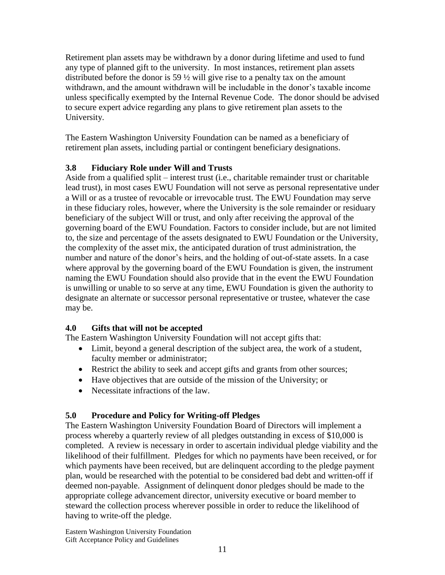Retirement plan assets may be withdrawn by a donor during lifetime and used to fund any type of planned gift to the university. In most instances, retirement plan assets distributed before the donor is 59 ½ will give rise to a penalty tax on the amount withdrawn, and the amount withdrawn will be includable in the donor's taxable income unless specifically exempted by the Internal Revenue Code. The donor should be advised to secure expert advice regarding any plans to give retirement plan assets to the University.

The Eastern Washington University Foundation can be named as a beneficiary of retirement plan assets, including partial or contingent beneficiary designations.

## **3.8 Fiduciary Role under Will and Trusts**

Aside from a qualified split – interest trust (i.e., charitable remainder trust or charitable lead trust), in most cases EWU Foundation will not serve as personal representative under a Will or as a trustee of revocable or irrevocable trust. The EWU Foundation may serve in these fiduciary roles, however, where the University is the sole remainder or residuary beneficiary of the subject Will or trust, and only after receiving the approval of the governing board of the EWU Foundation. Factors to consider include, but are not limited to, the size and percentage of the assets designated to EWU Foundation or the University, the complexity of the asset mix, the anticipated duration of trust administration, the number and nature of the donor's heirs, and the holding of out-of-state assets. In a case where approval by the governing board of the EWU Foundation is given, the instrument naming the EWU Foundation should also provide that in the event the EWU Foundation is unwilling or unable to so serve at any time, EWU Foundation is given the authority to designate an alternate or successor personal representative or trustee, whatever the case may be.

# **4.0 Gifts that will not be accepted**

The Eastern Washington University Foundation will not accept gifts that:

- Limit, beyond a general description of the subject area, the work of a student, faculty member or administrator;
- Restrict the ability to seek and accept gifts and grants from other sources;
- Have objectives that are outside of the mission of the University; or
- Necessitate infractions of the law.

# **5.0 Procedure and Policy for Writing-off Pledges**

The Eastern Washington University Foundation Board of Directors will implement a process whereby a quarterly review of all pledges outstanding in excess of \$10,000 is completed. A review is necessary in order to ascertain individual pledge viability and the likelihood of their fulfillment. Pledges for which no payments have been received, or for which payments have been received, but are delinquent according to the pledge payment plan, would be researched with the potential to be considered bad debt and written-off if deemed non-payable. Assignment of delinquent donor pledges should be made to the appropriate college advancement director, university executive or board member to steward the collection process wherever possible in order to reduce the likelihood of having to write-off the pledge.